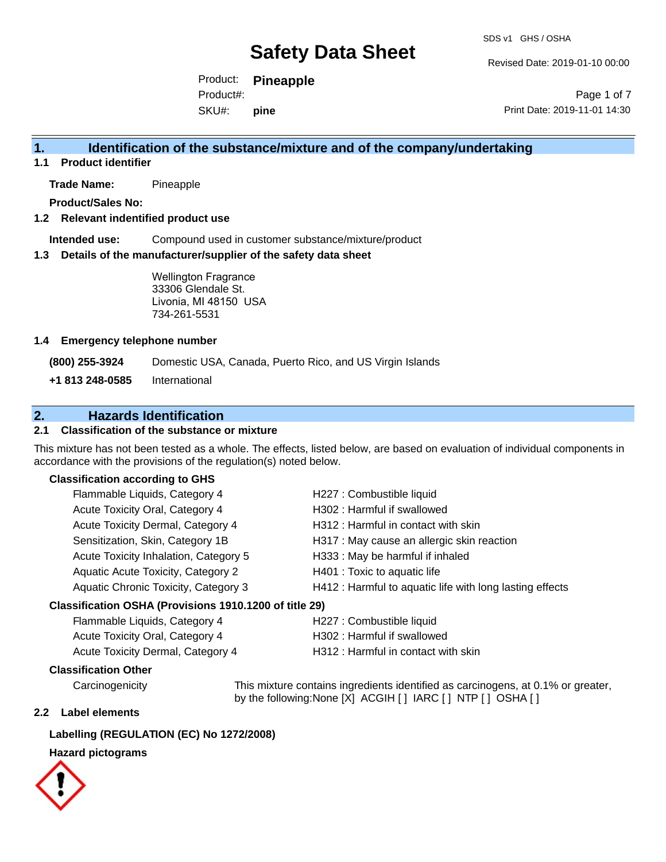Revised Date: 2019-01-10 00:00

Product: **Pineapple** SKU#: Product#: **pine**

Page 1 of 7 Print Date: 2019-11-01 14:30

### **1. Identification of the substance/mixture and of the company/undertaking**

**1.1 Product identifier**

**Trade Name:** Pineapple

**Product/Sales No:**

**1.2 Relevant indentified product use**

**Intended use:** Compound used in customer substance/mixture/product

**1.3 Details of the manufacturer/supplier of the safety data sheet**

Wellington Fragrance 33306 Glendale St. Livonia, MI 48150 USA 734-261-5531

#### **1.4 Emergency telephone number**

**(800) 255-3924** Domestic USA, Canada, Puerto Rico, and US Virgin Islands

**+1 813 248-0585** International

## **2. Hazards Identification**

#### **2.1 Classification of the substance or mixture**

This mixture has not been tested as a whole. The effects, listed below, are based on evaluation of individual components in accordance with the provisions of the regulation(s) noted below.

#### **Classification according to GHS**

| Flammable Liquids, Category 4                       | H227 : Combustible liquid                                |
|-----------------------------------------------------|----------------------------------------------------------|
| Acute Toxicity Oral, Category 4                     | H302: Harmful if swallowed                               |
| Acute Toxicity Dermal, Category 4                   | H312 : Harmful in contact with skin                      |
| Sensitization, Skin, Category 1B                    | H317 : May cause an allergic skin reaction               |
| Acute Toxicity Inhalation, Category 5               | H333: May be harmful if inhaled                          |
| Aquatic Acute Toxicity, Category 2                  | H401 : Toxic to aquatic life                             |
| Aquatic Chronic Toxicity, Category 3                | H412 : Harmful to aquatic life with long lasting effects |
| coification OSHA (Provisions 1010 1200 of title 20) |                                                          |

#### **Classification OSHA (Provisions 1910.1200 of title 29)**

| Flammable Liquids, Category 4     | H227 : Combustible liquid           |
|-----------------------------------|-------------------------------------|
| Acute Toxicity Oral, Category 4   | H302 : Harmful if swallowed         |
| Acute Toxicity Dermal, Category 4 | H312 : Harmful in contact with skin |

#### **Classification Other**

Carcinogenicity This mixture contains ingredients identified as carcinogens, at 0.1% or greater, by the following:None [X] ACGIH [ ] IARC [ ] NTP [ ] OSHA [ ]

#### **2.2 Label elements**

#### **Labelling (REGULATION (EC) No 1272/2008)**

#### **Hazard pictograms**

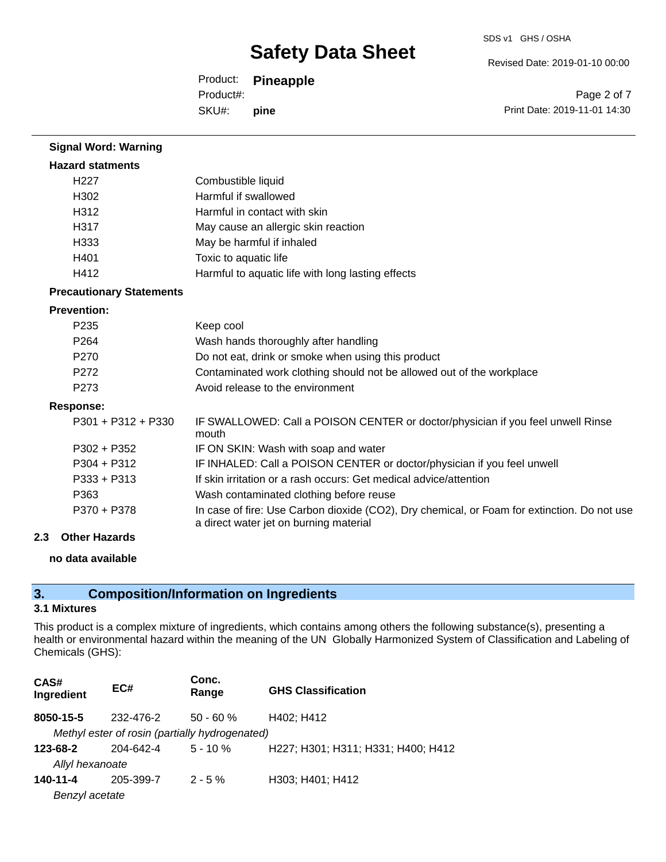Revised Date: 2019-01-10 00:00

Product: **Pineapple** SKU#: Product#: **pine**

Page 2 of 7 Print Date: 2019-11-01 14:30

| <b>Signal Word: Warning</b>     |                                                                                                                                       |
|---------------------------------|---------------------------------------------------------------------------------------------------------------------------------------|
| <b>Hazard statments</b>         |                                                                                                                                       |
| H <sub>227</sub>                | Combustible liquid                                                                                                                    |
| H302                            | Harmful if swallowed                                                                                                                  |
| H312                            | Harmful in contact with skin                                                                                                          |
| H317                            | May cause an allergic skin reaction                                                                                                   |
| H333                            | May be harmful if inhaled                                                                                                             |
| H401                            | Toxic to aquatic life                                                                                                                 |
| H412                            | Harmful to aquatic life with long lasting effects                                                                                     |
| <b>Precautionary Statements</b> |                                                                                                                                       |
| <b>Prevention:</b>              |                                                                                                                                       |
| P235                            | Keep cool                                                                                                                             |
| P <sub>264</sub>                | Wash hands thoroughly after handling                                                                                                  |
| P270                            | Do not eat, drink or smoke when using this product                                                                                    |
| P <sub>272</sub>                | Contaminated work clothing should not be allowed out of the workplace                                                                 |
| P273                            | Avoid release to the environment                                                                                                      |
| <b>Response:</b>                |                                                                                                                                       |
| $P301 + P312 + P330$            | IF SWALLOWED: Call a POISON CENTER or doctor/physician if you feel unwell Rinse<br>mouth                                              |
| $P302 + P352$                   | IF ON SKIN: Wash with soap and water                                                                                                  |
| $P304 + P312$                   | IF INHALED: Call a POISON CENTER or doctor/physician if you feel unwell                                                               |
| $P333 + P313$                   | If skin irritation or a rash occurs: Get medical advice/attention                                                                     |
| P363                            | Wash contaminated clothing before reuse                                                                                               |
| P370 + P378                     | In case of fire: Use Carbon dioxide (CO2), Dry chemical, or Foam for extinction. Do not use<br>a direct water jet on burning material |
| 2.3<br><b>Other Hazards</b>     |                                                                                                                                       |

### **no data available**

# **3. Composition/Information on Ingredients**

### **3.1 Mixtures**

This product is a complex mixture of ingredients, which contains among others the following substance(s), presenting a health or environmental hazard within the meaning of the UN Globally Harmonized System of Classification and Labeling of Chemicals (GHS):

| CAS#<br>Ingredient | EC#       | Conc.<br>Range                                 | <b>GHS Classification</b>          |
|--------------------|-----------|------------------------------------------------|------------------------------------|
| 8050-15-5          | 232-476-2 | 50 - 60 %                                      | H402; H412                         |
|                    |           | Methyl ester of rosin (partially hydrogenated) |                                    |
| 123-68-2           | 204-642-4 | $5 - 10 \%$                                    | H227; H301; H311; H331; H400; H412 |
| Allyl hexanoate    |           |                                                |                                    |
| 140-11-4           | 205-399-7 | $2 - 5 \%$                                     | H303; H401; H412                   |
| Benzyl acetate     |           |                                                |                                    |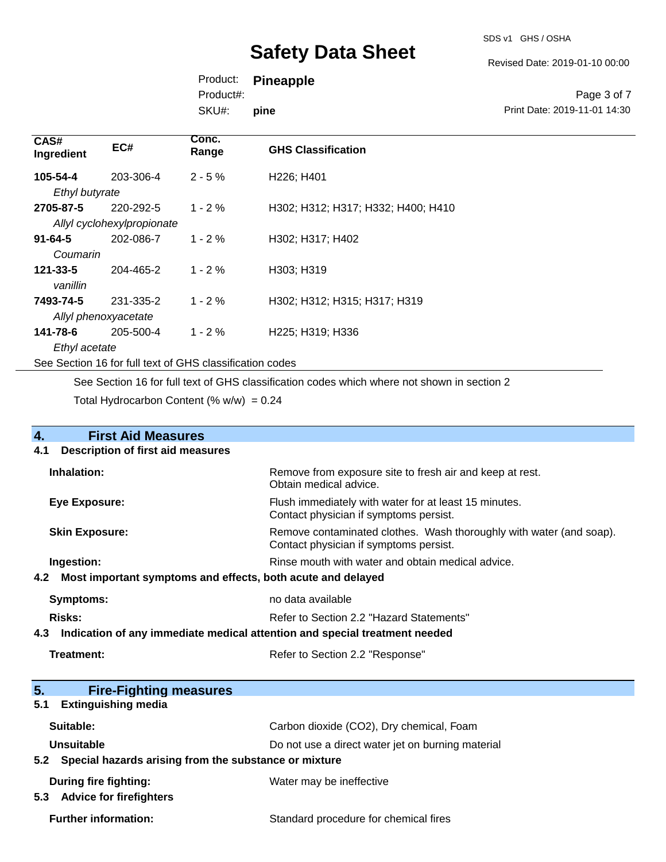SDS v1 GHS / OSHA

Revised Date: 2019-01-10 00:00

Product: **Pineapple** Product#:

SKU#: **pine**

Page 3 of 7 Print Date: 2019-11-01 14:30

| CAS#<br>Ingredient   | EC#                                                      | Conc.<br>Range | <b>GHS Classification</b>          |
|----------------------|----------------------------------------------------------|----------------|------------------------------------|
| 105-54-4             | 203-306-4                                                | $2 - 5%$       | H226; H401                         |
| Ethyl butyrate       |                                                          |                |                                    |
| 2705-87-5            | 220-292-5                                                | $1 - 2%$       | H302; H312; H317; H332; H400; H410 |
|                      | Allyl cyclohexylpropionate                               |                |                                    |
| $91 - 64 - 5$        | 202-086-7                                                | $1 - 2 \%$     | H302; H317; H402                   |
| Coumarin             |                                                          |                |                                    |
| $121 - 33 - 5$       | 204-465-2                                                | $1 - 2 \%$     | H303; H319                         |
| vanillin             |                                                          |                |                                    |
| 7493-74-5            | 231-335-2                                                | $1 - 2%$       | H302; H312; H315; H317; H319       |
| Allyl phenoxyacetate |                                                          |                |                                    |
| 141-78-6             | 205-500-4                                                | $1 - 2 \%$     | H225; H319; H336                   |
| Ethyl acetate        |                                                          |                |                                    |
|                      | See Section 16 for full text of GHS classification codes |                |                                    |

See Section 16 for full text of GHS classification codes which where not shown in section 2

Total Hydrocarbon Content (%  $w/w$ ) = 0.24

| <b>First Aid Measures</b><br>4.                                                   |                                                                                                               |
|-----------------------------------------------------------------------------------|---------------------------------------------------------------------------------------------------------------|
| <b>Description of first aid measures</b><br>4.1                                   |                                                                                                               |
| Inhalation:                                                                       | Remove from exposure site to fresh air and keep at rest.<br>Obtain medical advice.                            |
| Eye Exposure:                                                                     | Flush immediately with water for at least 15 minutes.<br>Contact physician if symptoms persist.               |
| <b>Skin Exposure:</b>                                                             | Remove contaminated clothes. Wash thoroughly with water (and soap).<br>Contact physician if symptoms persist. |
| Ingestion:                                                                        | Rinse mouth with water and obtain medical advice.                                                             |
| Most important symptoms and effects, both acute and delayed<br>4.2                |                                                                                                               |
| <b>Symptoms:</b>                                                                  | no data available                                                                                             |
| Risks:                                                                            | Refer to Section 2.2 "Hazard Statements"                                                                      |
| Indication of any immediate medical attention and special treatment needed<br>4.3 |                                                                                                               |
| Treatment:                                                                        | Refer to Section 2.2 "Response"                                                                               |
| 5.<br><b>Fire-Fighting measures</b>                                               |                                                                                                               |
| <b>Extinguishing media</b><br>5.1                                                 |                                                                                                               |
| Suitable:                                                                         | Carbon dioxide (CO2), Dry chemical, Foam                                                                      |
| <b>Unsuitable</b>                                                                 | Do not use a direct water jet on burning material                                                             |
| 5.2 Special hazards arising from the substance or mixture                         |                                                                                                               |
| <b>During fire fighting:</b>                                                      | Water may be ineffective                                                                                      |

**5.3 Advice for firefighters**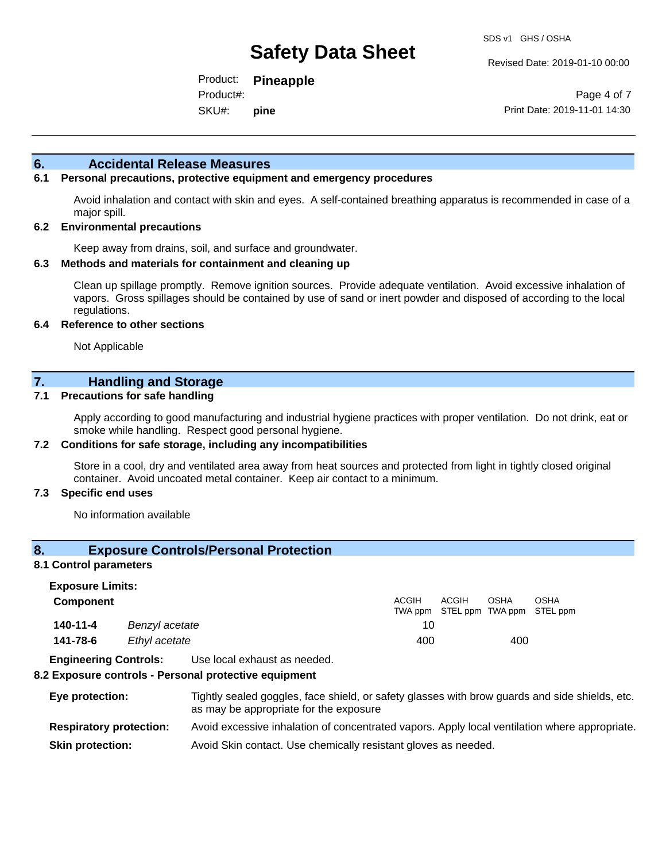Revised Date: 2019-01-10 00:00

Product: **Pineapple** SKU#: Product#: **pine**

Page 4 of 7 Print Date: 2019-11-01 14:30

### **6. Accidental Release Measures**

#### **6.1 Personal precautions, protective equipment and emergency procedures**

Avoid inhalation and contact with skin and eyes. A self-contained breathing apparatus is recommended in case of a major spill.

#### **6.2 Environmental precautions**

Keep away from drains, soil, and surface and groundwater.

#### **6.3 Methods and materials for containment and cleaning up**

Clean up spillage promptly. Remove ignition sources. Provide adequate ventilation. Avoid excessive inhalation of vapors. Gross spillages should be contained by use of sand or inert powder and disposed of according to the local regulations.

#### **6.4 Reference to other sections**

Not Applicable

### **7. Handling and Storage**

#### **7.1 Precautions for safe handling**

Apply according to good manufacturing and industrial hygiene practices with proper ventilation. Do not drink, eat or smoke while handling. Respect good personal hygiene.

#### **7.2 Conditions for safe storage, including any incompatibilities**

Store in a cool, dry and ventilated area away from heat sources and protected from light in tightly closed original container. Avoid uncoated metal container. Keep air contact to a minimum.

#### **7.3 Specific end uses**

No information available

#### **8. Exposure Controls/Personal Protection**

#### **8.1 Control parameters**

| <b>Exposure Limits:</b> |                |              |                                            |             |      |
|-------------------------|----------------|--------------|--------------------------------------------|-------------|------|
| <b>Component</b>        |                | <b>ACGIH</b> | ACGIH<br>TWA ppm STEL ppm TWA ppm STEL ppm | <b>OSHA</b> | OSHA |
| 140-11-4                | Benzyl acetate | 10           |                                            |             |      |
| 141-78-6                | Ethyl acetate  | 400          |                                            | 400         |      |

**Engineering Controls:** Use local exhaust as needed.

#### **8.2 Exposure controls - Personal protective equipment**

**Eye protection:** Tightly sealed goggles, face shield, or safety glasses with brow guards and side shields, etc. as may be appropriate for the exposure **Respiratory protection:** Avoid excessive inhalation of concentrated vapors. Apply local ventilation where appropriate. **Skin protection:** Avoid Skin contact. Use chemically resistant gloves as needed.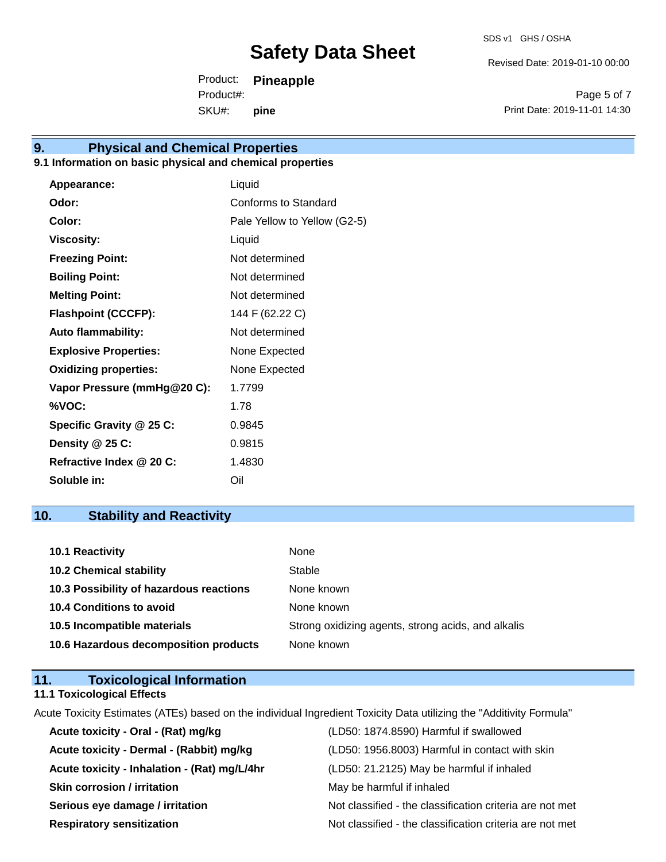Revised Date: 2019-01-10 00:00

Product: **Pineapple** SKU#: Product#: **pine**

Page 5 of 7 Print Date: 2019-11-01 14:30

# **9. Physical and Chemical Properties**

### **9.1 Information on basic physical and chemical properties**

| Appearance:                  | Liquid                       |
|------------------------------|------------------------------|
| Odor:                        | Conforms to Standard         |
| Color:                       | Pale Yellow to Yellow (G2-5) |
| <b>Viscosity:</b>            | Liquid                       |
| <b>Freezing Point:</b>       | Not determined               |
| <b>Boiling Point:</b>        | Not determined               |
| <b>Melting Point:</b>        | Not determined               |
| <b>Flashpoint (CCCFP):</b>   | 144 F (62.22 C)              |
| <b>Auto flammability:</b>    | Not determined               |
| <b>Explosive Properties:</b> | None Expected                |
| <b>Oxidizing properties:</b> | None Expected                |
| Vapor Pressure (mmHg@20 C):  | 1.7799                       |
| %VOC:                        | 1.78                         |
| Specific Gravity @ 25 C:     | 0.9845                       |
| Density $@25C$ :             | 0.9815                       |
| Refractive Index @ 20 C:     | 1.4830                       |
| Soluble in:                  | Oil                          |

# **10. Stability and Reactivity**

| 10.1 Reactivity                         | None                                               |
|-----------------------------------------|----------------------------------------------------|
| <b>10.2 Chemical stability</b>          | Stable                                             |
| 10.3 Possibility of hazardous reactions | None known                                         |
| 10.4 Conditions to avoid                | None known                                         |
| 10.5 Incompatible materials             | Strong oxidizing agents, strong acids, and alkalis |
| 10.6 Hazardous decomposition products   | None known                                         |

### **11. Toxicological Information 11.1 Toxicological Effects**

Acute Toxicity Estimates (ATEs) based on the individual Ingredient Toxicity Data utilizing the "Additivity Formula"

| Acute toxicity - Oral - (Rat) mg/kg          | (LD50: 1874.8590) Harmful if swallowed                   |
|----------------------------------------------|----------------------------------------------------------|
| Acute toxicity - Dermal - (Rabbit) mg/kg     | (LD50: 1956.8003) Harmful in contact with skin           |
| Acute toxicity - Inhalation - (Rat) mg/L/4hr | (LD50: 21.2125) May be harmful if inhaled                |
| <b>Skin corrosion / irritation</b>           | May be harmful if inhaled                                |
| Serious eye damage / irritation              | Not classified - the classification criteria are not met |
| <b>Respiratory sensitization</b>             | Not classified - the classification criteria are not met |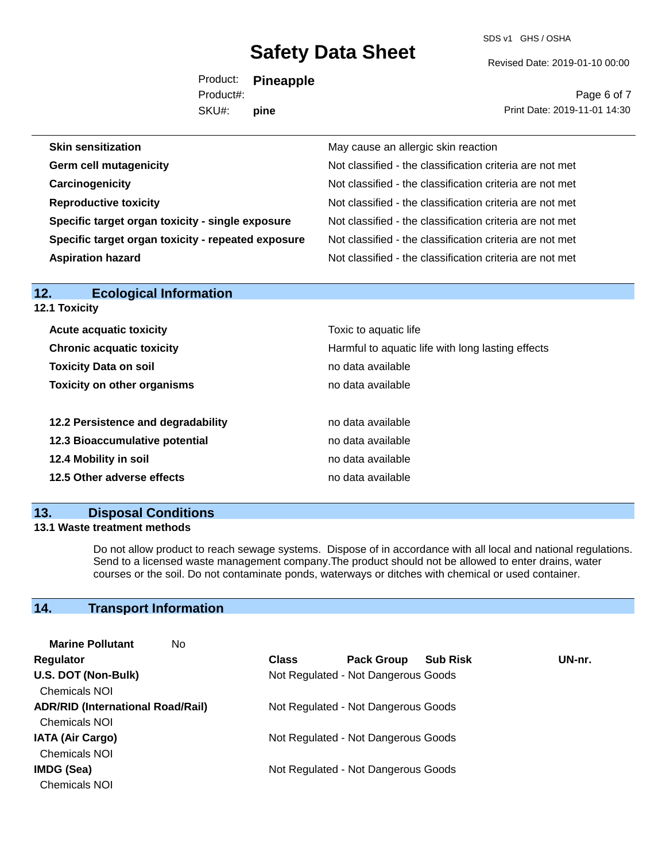SDS v1 GHS / OSHA

Revised Date: 2019-01-10 00:00

Product: **Pineapple** SKU#: Product#: **pine**

Page 6 of 7 Print Date: 2019-11-01 14:30

| <b>Skin sensitization</b>                          | May cause an allergic skin reaction                      |
|----------------------------------------------------|----------------------------------------------------------|
| <b>Germ cell mutagenicity</b>                      | Not classified - the classification criteria are not met |
| Carcinogenicity                                    | Not classified - the classification criteria are not met |
| <b>Reproductive toxicity</b>                       | Not classified - the classification criteria are not met |
| Specific target organ toxicity - single exposure   | Not classified - the classification criteria are not met |
| Specific target organ toxicity - repeated exposure | Not classified - the classification criteria are not met |
| <b>Aspiration hazard</b>                           | Not classified - the classification criteria are not met |

| 12.<br><b>Ecological Information</b> |                                                   |
|--------------------------------------|---------------------------------------------------|
| 12.1 Toxicity                        |                                                   |
| <b>Acute acquatic toxicity</b>       | Toxic to aquatic life                             |
| <b>Chronic acquatic toxicity</b>     | Harmful to aquatic life with long lasting effects |
| <b>Toxicity Data on soil</b>         | no data available                                 |
| <b>Toxicity on other organisms</b>   | no data available                                 |
|                                      |                                                   |
| 12.2 Persistence and degradability   | no data available                                 |
| 12.3 Bioaccumulative potential       | no data available                                 |
| 12.4 Mobility in soil                | no data available                                 |
| 12.5 Other adverse effects           | no data available                                 |
|                                      |                                                   |

# **13. Disposal Conditions**

#### **13.1 Waste treatment methods**

Do not allow product to reach sewage systems. Dispose of in accordance with all local and national regulations. Send to a licensed waste management company.The product should not be allowed to enter drains, water courses or the soil. Do not contaminate ponds, waterways or ditches with chemical or used container.

# **14. Transport Information**

| No<br><b>Marine Pollutant</b>            |                                                      |        |
|------------------------------------------|------------------------------------------------------|--------|
| <b>Regulator</b>                         | <b>Sub Risk</b><br><b>Pack Group</b><br><b>Class</b> | UN-nr. |
| U.S. DOT (Non-Bulk)                      | Not Regulated - Not Dangerous Goods                  |        |
| <b>Chemicals NOI</b>                     |                                                      |        |
| <b>ADR/RID (International Road/Rail)</b> | Not Regulated - Not Dangerous Goods                  |        |
| <b>Chemicals NOI</b>                     |                                                      |        |
| <b>IATA (Air Cargo)</b>                  | Not Regulated - Not Dangerous Goods                  |        |
| Chemicals NOI                            |                                                      |        |
| <b>IMDG (Sea)</b>                        | Not Regulated - Not Dangerous Goods                  |        |
| <b>Chemicals NOI</b>                     |                                                      |        |